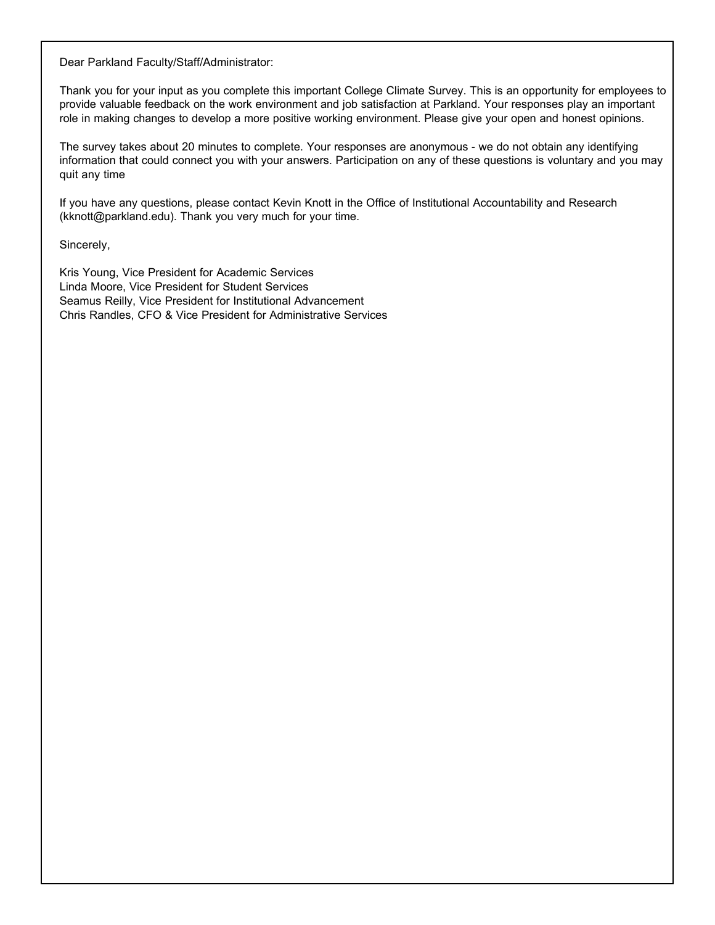Dear Parkland Faculty/Staff/Administrator:

Thank you for your input as you complete this important College Climate Survey. This is an opportunity for employees to provide valuable feedback on the work environment and job satisfaction at Parkland. Your responses play an important role in making changes to develop a more positive working environment. Please give your open and honest opinions.

The survey takes about 20 minutes to complete. Your responses are anonymous - we do not obtain any identifying information that could connect you with your answers. Participation on any of these questions is voluntary and you may quit any time

If you have any questions, please contact Kevin Knott in the Office of Institutional Accountability and Research (kknott@parkland.edu). Thank you very much for your time.

Sincerely,

Kris Young, Vice President for Academic Services Linda Moore, Vice President for Student Services Seamus Reilly, Vice President for Institutional Advancement Chris Randles, CFO & Vice President for Administrative Services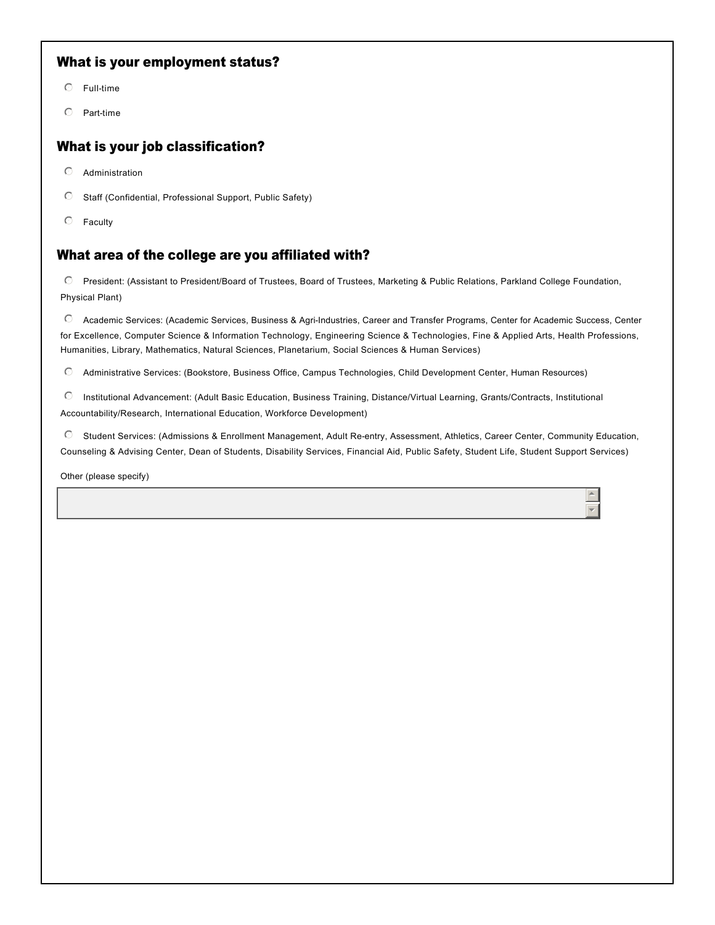#### What is your employment status?

- $O$  Full-time
- $O$  Part-time

#### What is your job classification?

- $O$  Administration
- $\heartsuit$  Staff (Confidential, Professional Support, Public Safety)
- $\heartsuit$  Faculty

#### What area of the college are you affiliated with?

C President: (Assistant to President/Board of Trustees, Board of Trustees, Marketing & Public Relations, Parkland College Foundation, Physical Plant)

 $\heartsuit$  Academic Services: (Academic Services, Business & Agri-Industries, Career and Transfer Programs, Center for Academic Success, Center for Excellence, Computer Science & Information Technology, Engineering Science & Technologies, Fine & Applied Arts, Health Professions, Humanities, Library, Mathematics, Natural Sciences, Planetarium, Social Sciences & Human Services)

 $\degree$  Administrative Services: (Bookstore, Business Office, Campus Technologies, Child Development Center, Human Resources)

Institutional Advancement: (Adult Basic Education, Business Training, Distance/Virtual Learning, Grants/Contracts, Institutional Accountability/Research, International Education, Workforce Development)  $\circ$ 

C Student Services: (Admissions & Enrollment Management, Adult Re-entry, Assessment, Athletics, Career Center, Community Education, Counseling & Advising Center, Dean of Students, Disability Services, Financial Aid, Public Safety, Student Life, Student Support Services)

> $\overline{a}$ 6

Other (please specify)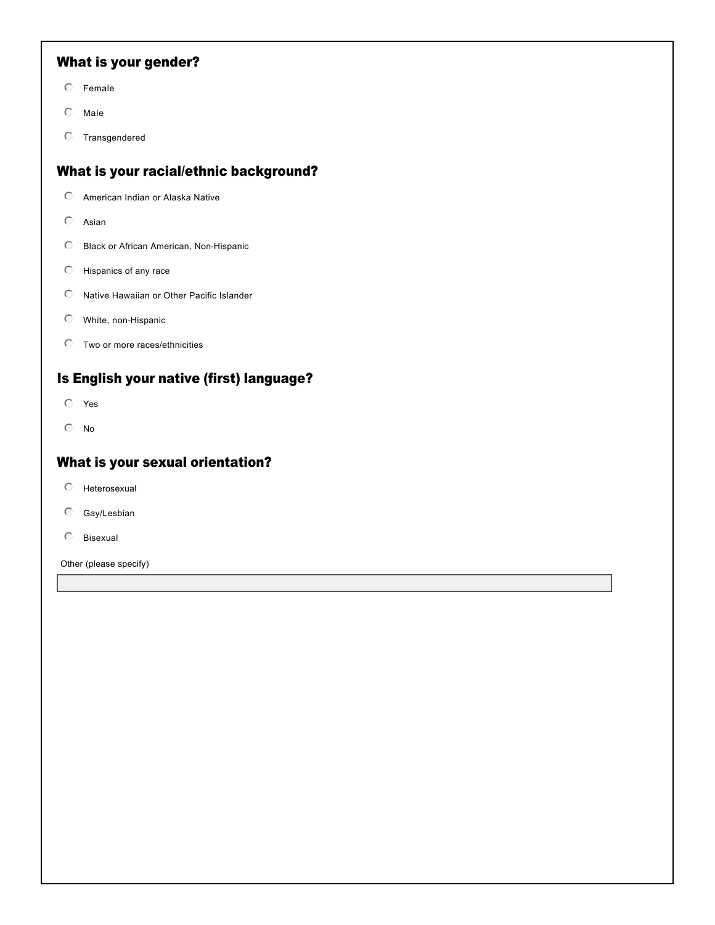### What is your gender?

- $O$  Female
- $\odot$  Male
- $O$  Transgendered

### What is your racial/ethnic background?

- $\odot$  American Indian or Alaska Native
- $O$  Asian
- $\odot$  Black or African American, Non-Hispanic
- $\heartsuit$  Hispanics of any race
- $\odot$  Native Hawaiian or Other Pacific Islander
- $O$  White, non-Hispanic
- $\heartsuit$  Two or more races/ethnicities

#### Is English your native (first) language?

- $O$  Yes
- $\odot$  No

#### What is your sexual orientation?

- $O$  Heterosexual
- $O$  Gay/Lesbian
- $O$  Bisexual

Other (please specify)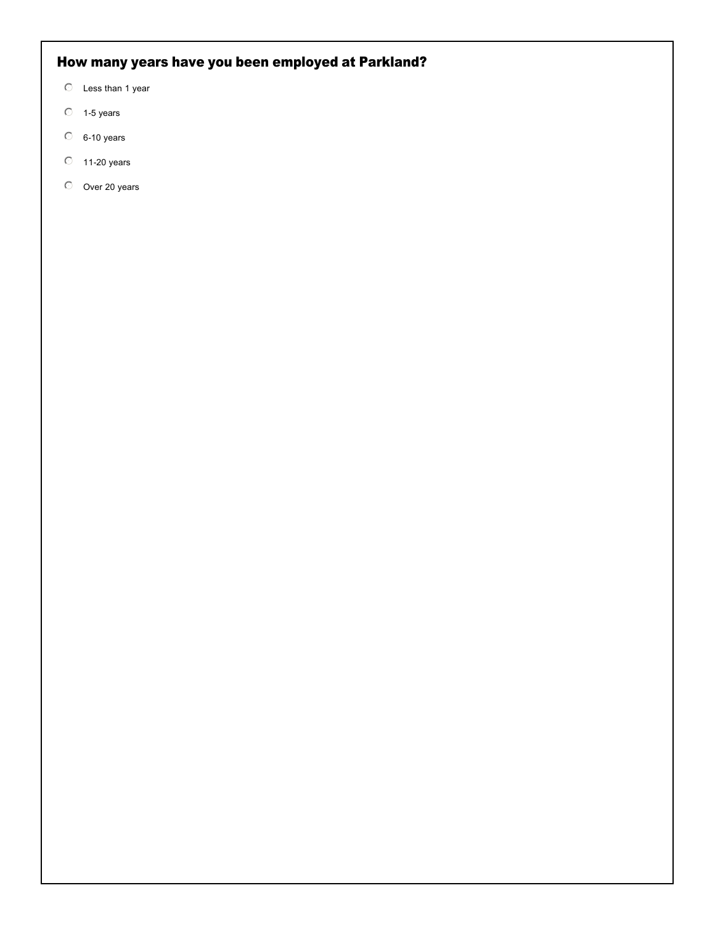# How many years have you been employed at Parkland?

- $\heartsuit$  Less than 1 year
- $O$  1-5 years
- $O$  6-10 years
- $\heartsuit$  11-20 years
- $O$  Over 20 years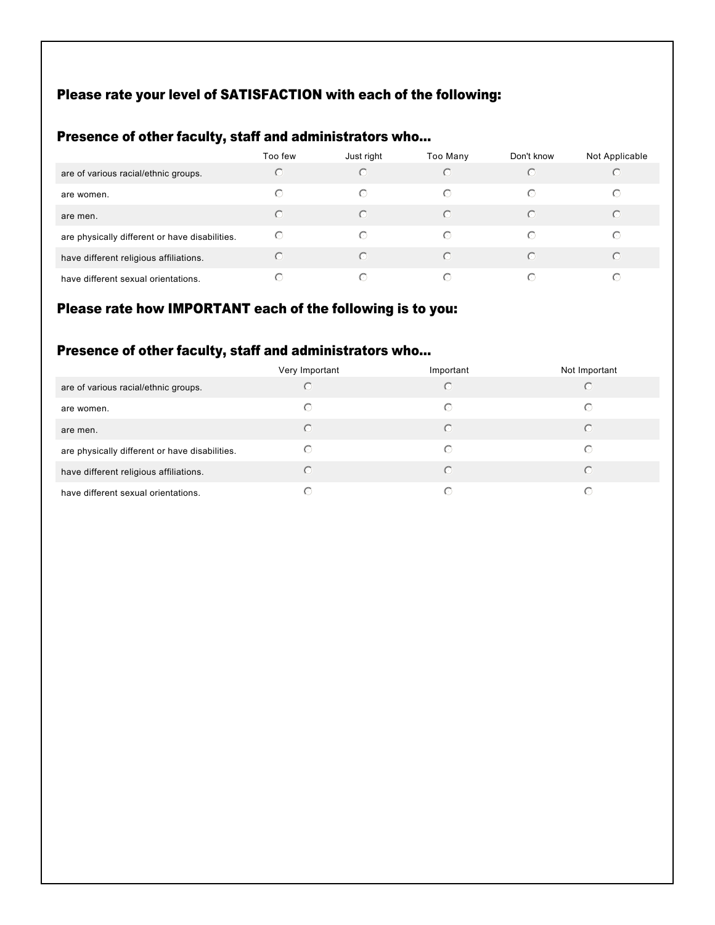### Please rate your level of SATISFACTION with each of the following:

# Presence of other faculty, staff and administrators who...

|                                                | Too few | Just right | Too Many   | Don't know | Not Applicable |
|------------------------------------------------|---------|------------|------------|------------|----------------|
| are of various racial/ethnic groups.           | ( - )   | $(\cdot)$  | $\bigcap$  |            | $(\cdot)$      |
| are women.                                     | ∩       | ⊙          | $\odot$    | ∩          | ⊙              |
| are men.                                       | ◯       | $(\cdot)$  | $\bigcap$  | $\cap$     | ⊙              |
| are physically different or have disabilities. | ⊙       | ⊙          | $\odot$    | ∩          | $\odot$        |
| have different religious affiliations.         | ∩       | $\odot$    | $\bigcap$  |            | $\odot$        |
| have different sexual orientations.            |         | $(\cdot)$  | $\bigcirc$ |            | $(\cdot)$      |

#### Please rate how IMPORTANT each of the following is to you:

# Presence of other faculty, staff and administrators who...

|                                                | Very Important | Important  | Not Important |
|------------------------------------------------|----------------|------------|---------------|
| are of various racial/ethnic groups.           |                | $\bigcirc$ |               |
| are women.                                     | ⊙              | ⊙          |               |
| are men.                                       | C              | $\odot$    |               |
| are physically different or have disabilities. | ( · )          | $\bigcirc$ | ( - )         |
| have different religious affiliations.         |                | $\bigcap$  |               |
| have different sexual orientations.            |                | ∩          |               |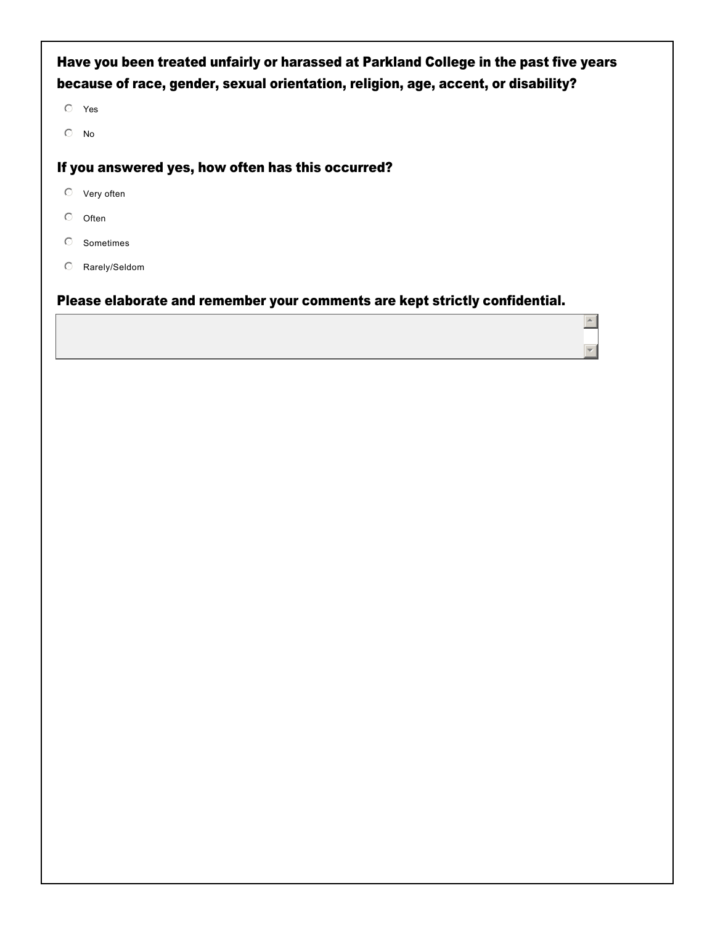## Have you been treated unfairly or harassed at Parkland College in the past five years because of race, gender, sexual orientation, religion, age, accent, or disability?

 $O$  Yes

 $\mathbb{O}$  No

#### If you answered yes, how often has this occurred?

- $\heartsuit$  Very often
- $\circledcirc$  Often
- $O$  Sometimes
- $O$  Rarely/Seldom

#### Please elaborate and remember your comments are kept strictly confidential.

 $\blacktriangle$ 

 $\overline{\mathbf{v}}$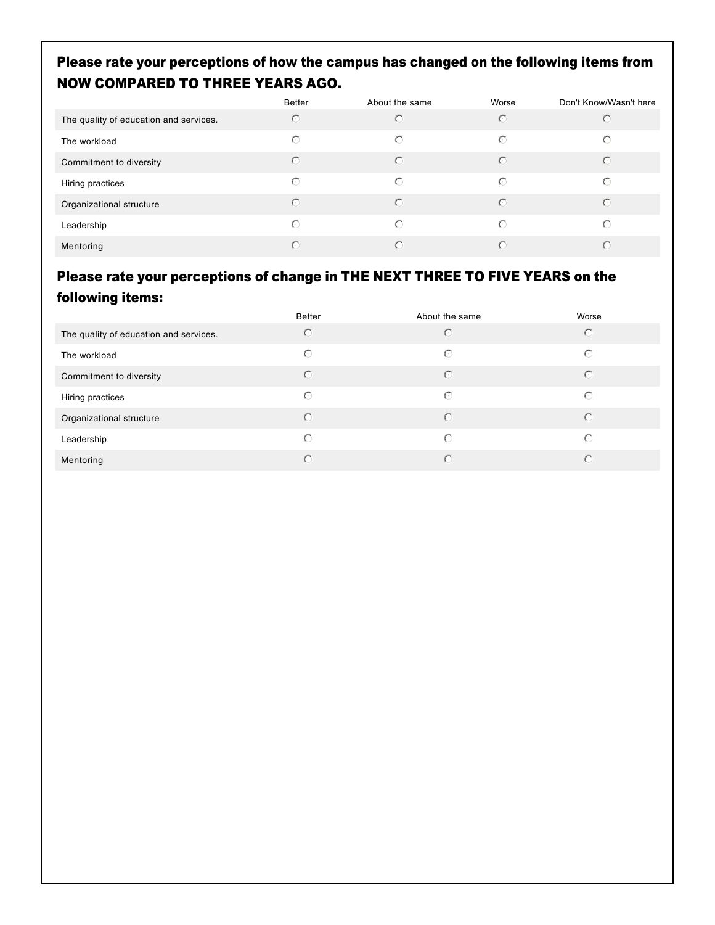## Please rate your perceptions of how the campus has changed on the following items from NOW COMPARED TO THREE YEARS AGO.

|                                        | Better     | About the same | Worse     | Don't Know/Wasn't here |
|----------------------------------------|------------|----------------|-----------|------------------------|
| The quality of education and services. | $\odot$    | $\bigcirc$     | $\bigcap$ | $(\cdot)$              |
| The workload                           | $\odot$    | $\odot$        | $\bigcap$ | ⊙                      |
| Commitment to diversity                | $\odot$    | $\bigcirc$     | $\subset$ | $\bigcap$              |
| Hiring practices                       | $\bigcirc$ | $\bigcirc$     | $\bigcap$ | $\odot$                |
| Organizational structure               | $\bigcap$  | $\odot$        | $\bigcap$ | $\bigcap$              |
| Leadership                             | $\bigcirc$ | $\bigcirc$     | $\bigcap$ | ∩                      |
| Mentoring                              | ∩          | $\bigcap$      | $\subset$ | $\bigcap$              |

## Please rate your perceptions of change in THE NEXT THREE TO FIVE YEARS on the following items:

|                                        | Better     | About the same | Worse     |
|----------------------------------------|------------|----------------|-----------|
| The quality of education and services. | $\odot$    | $\subset$      | $\odot$   |
| The workload                           | $\odot$    | $\odot$        | ∩         |
| Commitment to diversity                | $\bigcirc$ | $\bigcap$      | $\bigcap$ |
| Hiring practices                       | $\bigcirc$ | $\odot$        | ∩         |
| Organizational structure               | $\bigcirc$ | $\odot$        | $\bigcap$ |
| Leadership                             | $\bigcirc$ | $\bigcirc$     | ∩         |
| Mentoring                              | ∩          | $\subset$      | ∩         |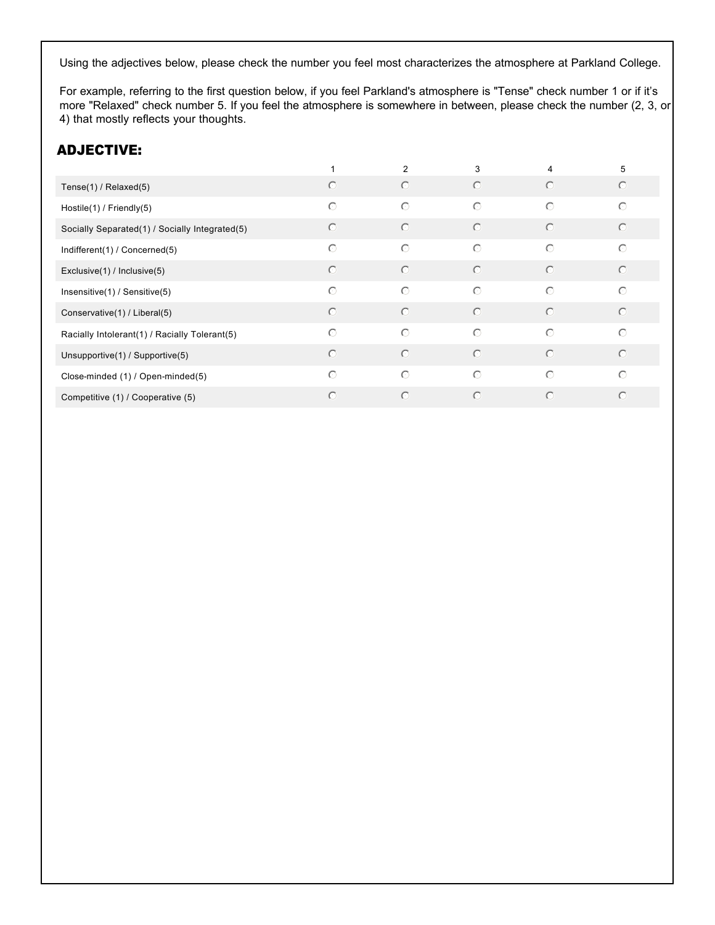Using the adjectives below, please check the number you feel most characterizes the atmosphere at Parkland College.

For example, referring to the first question below, if you feel Parkland's atmosphere is "Tense" check number 1 or if it's more "Relaxed" check number 5. If you feel the atmosphere is somewhere in between, please check the number (2, 3, or 4) that mostly reflects your thoughts.

### ADJECTIVE:

|                                                |            | 2          | 3          | 4          | 5       |
|------------------------------------------------|------------|------------|------------|------------|---------|
| Tense $(1)$ / Relaxed $(5)$                    | $\odot$    | $\odot$    | $\odot$    | $\odot$    | $\circ$ |
| Hostile(1) / Friendly(5)                       | $\odot$    | $\odot$    | $\odot$    | $\odot$    | $\odot$ |
| Socially Separated(1) / Socially Integrated(5) | $\circ$    | $\circ$    | $\circ$    | $\odot$    | $\circ$ |
| Indifferent(1) / Concerned(5)                  | $\circ$    | $\bigcirc$ | $\bigcirc$ | $\odot$    | $\odot$ |
| Exclusive(1) / Inclusive(5)                    | $\odot$    | $\bigcirc$ | $\bigcirc$ | $\bigcirc$ | $\circ$ |
| Insensitive(1) / Sensitive(5)                  | $\circ$    | $\bigcirc$ | $\bigcirc$ | $\odot$    | $\odot$ |
| Conservative(1) / Liberal(5)                   | $\odot$    | $\odot$    | $\bigcirc$ | $\odot$    | $\odot$ |
| Racially Intolerant(1) / Racially Tolerant(5)  | $\odot$    | $\bigcirc$ | $\bigcirc$ | $\bigcirc$ | $\odot$ |
| Unsupportive(1) / Supportive(5)                | $\odot$    | $\odot$    | $\odot$    | $\odot$    | $\odot$ |
| Close-minded (1) / Open-minded(5)              | $\odot$    | $\bigcirc$ | $\bigcirc$ | $\bigcirc$ | $\odot$ |
| Competitive (1) / Cooperative (5)              | $\bigcirc$ | $\odot$    | $\odot$    | $\bigcirc$ | $\odot$ |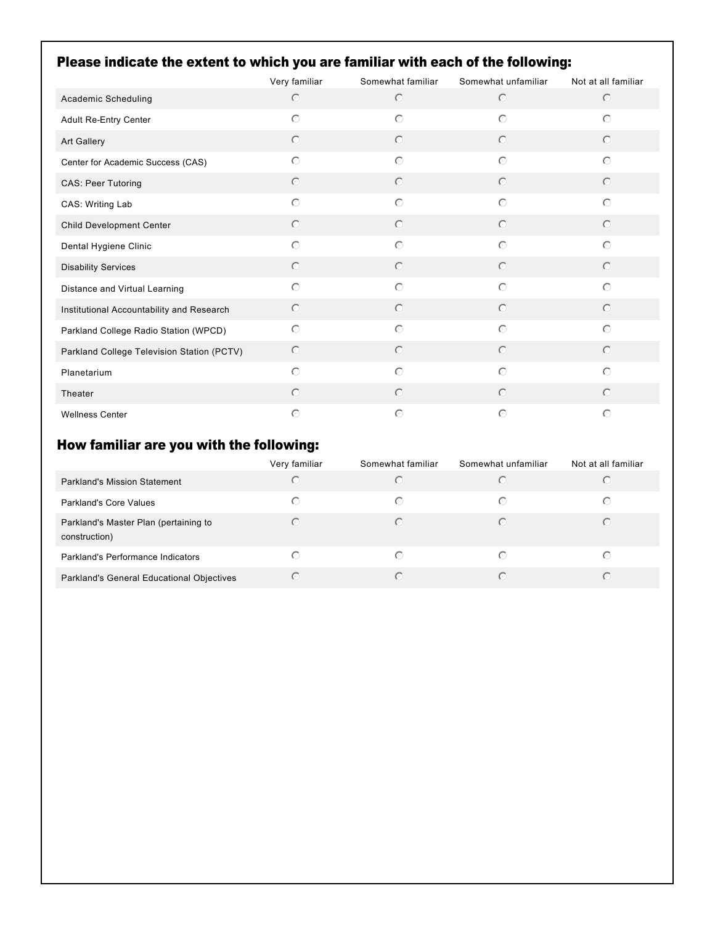# Please indicate the extent to which you are familiar with each of the following:

|                                            | Very familiar | Somewhat familiar | Somewhat unfamiliar | Not at all familiar |
|--------------------------------------------|---------------|-------------------|---------------------|---------------------|
| Academic Scheduling                        | $\circ$       | $\circ$           | $\circ$             | $\circ$             |
| Adult Re-Entry Center                      | $\bigcirc$    | $\circ$           | $\odot$             | $\bigcirc$          |
| Art Gallery                                | $\circ$       | $\circ$           | $\circ$             | $\circ$             |
| Center for Academic Success (CAS)          | $\odot$       | $\circ$           | $\bigcirc$          | $\odot$             |
| CAS: Peer Tutoring                         | $\circ$       | $\circ$           | $\circ$             | $\circ$             |
| CAS: Writing Lab                           | $\bigcirc$    | $\circ$           | $\odot$             | $\odot$             |
| Child Development Center                   | $\circ$       | $\circ$           | $\circ$             | $\circ$             |
| Dental Hygiene Clinic                      | $\odot$       | $\bigcirc$        | $\odot$             | $\odot$             |
| <b>Disability Services</b>                 | $\bigcirc$    | $\circ$           | $\circ$             | $\odot$             |
| Distance and Virtual Learning              | $\bigcirc$    | $\bigcirc$        | $\odot$             | $\odot$             |
| Institutional Accountability and Research  | $\circ$       | $\circ$           | $\circ$             | $\circ$             |
| Parkland College Radio Station (WPCD)      | $\circ$       | $\circ$           | $\odot$             | $\bigcirc$          |
| Parkland College Television Station (PCTV) | $\circ$       | $\circ$           | $\circ$             | $\circ$             |
| Planetarium                                | $\bigcirc$    | $\circ$           | $\circ$             | $\odot$             |
| Theater                                    | $\bigcirc$    | $\circ$           | $\odot$             | $\odot$             |
| <b>Wellness Center</b>                     | $\circ$       | $\circ$           | $\bigcirc$          | $\circ$             |

# How familiar are you with the following:

|                                                        | Very familiar | Somewhat familiar | Somewhat unfamiliar | Not at all familiar |
|--------------------------------------------------------|---------------|-------------------|---------------------|---------------------|
| Parkland's Mission Statement                           | C             | $\odot$           |                     | C                   |
| Parkland's Core Values                                 | ∩             | $\odot$           | ∩                   | ⊙                   |
| Parkland's Master Plan (pertaining to<br>construction) | ◯             | $\subset$         |                     | $\odot$             |
| Parkland's Performance Indicators                      | ◯             | ⊙                 | ∩                   | €                   |
| Parkland's General Educational Objectives              | C             | $\subset$         |                     | $\subset$           |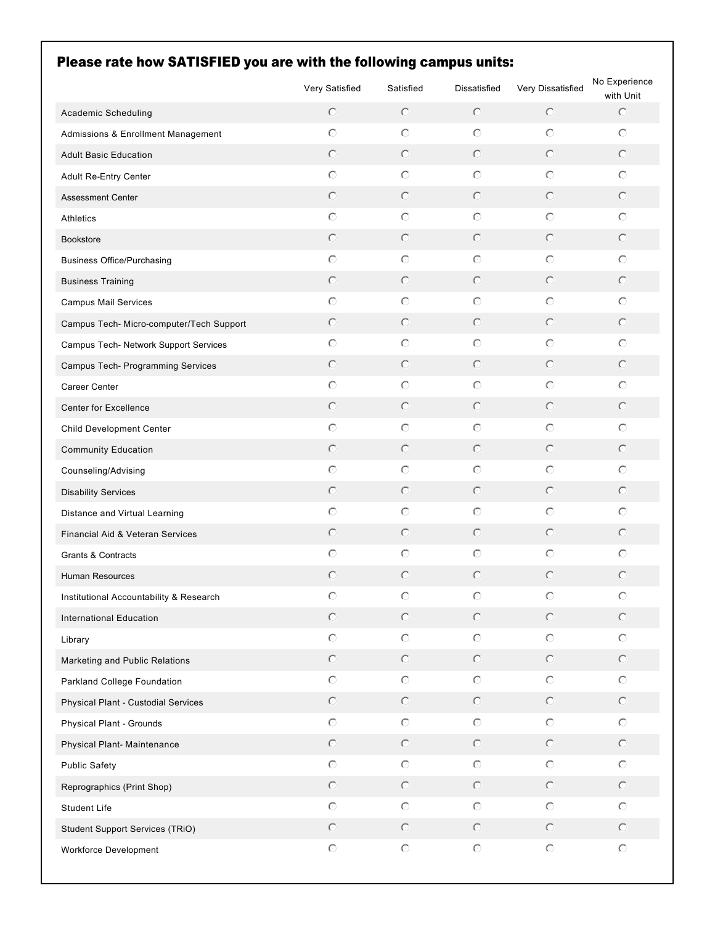| Please rate how SATISFIED you are with the following campus units: | Very Satisfied | Satisfied           | Dissatisfied        | Very Dissatisfied   | No Experience        |
|--------------------------------------------------------------------|----------------|---------------------|---------------------|---------------------|----------------------|
| Academic Scheduling                                                | $\circ$        | $\circ$             | $\odot$             | $\circ$             | with Unit<br>$\circ$ |
| Admissions & Enrollment Management                                 | $\circ$        | $\circ$             | $\circ$             | $\circ$             | $\circ$              |
| <b>Adult Basic Education</b>                                       | $\circ$        | $\circ$             | $\circ$             | $\circ$             | $\odot$              |
|                                                                    | $\circ$        | $\circ$             | $\circ$             | $\circ$             | $\circ$              |
| Adult Re-Entry Center                                              | $\circ$        | $\circ$             | $\circ$             | $\circ$             | $\circ$              |
| <b>Assessment Center</b>                                           | $\circ$        | $\circ$             | $\circ$             | $\circ$             | $\circ$              |
| <b>Athletics</b>                                                   | $\circ$        | $\circ$             | $\circ$             | $\circ$             | $\circ$              |
| <b>Bookstore</b>                                                   | $\circ$        | $\circ$             | $\circ$             | $\circ$             | $\circ$              |
| <b>Business Office/Purchasing</b>                                  | $\circ$        | $\circ$             | $\circ$             | $\circ$             | $\odot$              |
| <b>Business Training</b>                                           | $\circ$        | $\circ$             | $\circ$             | $\circ$             | $\circ$              |
| <b>Campus Mail Services</b>                                        | $\circ$        | $\circ$             | $\circ$             | $\circ$             | $\circ$              |
| Campus Tech- Micro-computer/Tech Support                           |                | $\circ$             |                     | $\circ$             |                      |
| Campus Tech- Network Support Services                              | $\circ$        |                     | $\circ$             |                     | $\circ$              |
| Campus Tech- Programming Services                                  | $\circ$        | $\circ$             | $\circ$             | $\circ$             | $\circ$              |
| Career Center                                                      | $\circ$        | $\circ$             | $\circ$             | $\circ$             | $\circ$              |
| Center for Excellence                                              | $\circ$        | $\circ$             | $\circ$             | $\circ$             | $\odot$              |
| Child Development Center                                           | $\circ$        | $\circ$             | $\circ$             | $\circ$             | $\odot$              |
| <b>Community Education</b>                                         | $\circ$        | $\circ$             | $\circ$             | $\circ$             | $\odot$              |
| Counseling/Advising                                                | $\circ$        | $\circ$             | $\circ$             | $\circ$             | $\odot$              |
| <b>Disability Services</b>                                         | $\circ$        | $\circ$             | $\circ$             | $\circ$             | $\odot$              |
| Distance and Virtual Learning                                      | $\circ$        | $\circ$             | $\circ$             | $\circ$             | $\odot$              |
| Financial Aid & Veteran Services                                   | $\circ$        | $\circ$             | $\circ$             | $\circ$             | $\circ$              |
| Grants & Contracts                                                 | $\circ$        | $\circ$             | $\circ$             | $\circ$             | $\circ$              |
| <b>Human Resources</b>                                             | $\circ$        | $\circ$             | $\circ$             | $\circ$             | $\circ$              |
| Institutional Accountability & Research                            | $\circ$        | $\circ$             | $\circ$             | $\circ$             | $\odot$              |
| <b>International Education</b>                                     | $\odot$        | $\circ$             | $\circledcirc$      | $\circ$             | $\odot$              |
| Library                                                            | $\odot$        | $\odot$             | $\circlearrowright$ | $\circlearrowright$ | $\circ$              |
| Marketing and Public Relations                                     | $\odot$        | $\odot$             | $\circledcirc$      | $\odot$             | $\odot$              |
| Parkland College Foundation                                        | $\odot$        | $\odot$             | $\circlearrowright$ | $\circlearrowright$ | $\odot$              |
| Physical Plant - Custodial Services                                | $\odot$        | $\odot$             | $\circledcirc$      | $\odot$             | $\odot$              |
| Physical Plant - Grounds                                           | $\odot$        | $\odot$             | $\circlearrowright$ | $\circlearrowright$ | $\odot$              |
| Physical Plant- Maintenance                                        | $\odot$        | $\circ$             | $\circledcirc$      | $\odot$             | $\odot$              |
| <b>Public Safety</b>                                               | $\odot$        | $\circlearrowright$ | $\bigcirc$          | $\circlearrowright$ | $\odot$              |
| Reprographics (Print Shop)                                         | $\odot$        | $\circ$             | $\circledcirc$      | $\odot$             | $\odot$              |
| Student Life                                                       | $\odot$        | $\circlearrowright$ | $\bigcirc$          | $\circlearrowright$ | $\odot$              |
| Student Support Services (TRiO)                                    | $\odot$        | $\circ$             | $\circledcirc$      | $\odot$             | $\odot$              |
| Workforce Development                                              | $\bigcirc$     | $\circlearrowright$ | $\bigcirc$          | $\mathbf C$         | $\circlearrowright$  |

# Please rate how SATISFIED you are with the following campus units: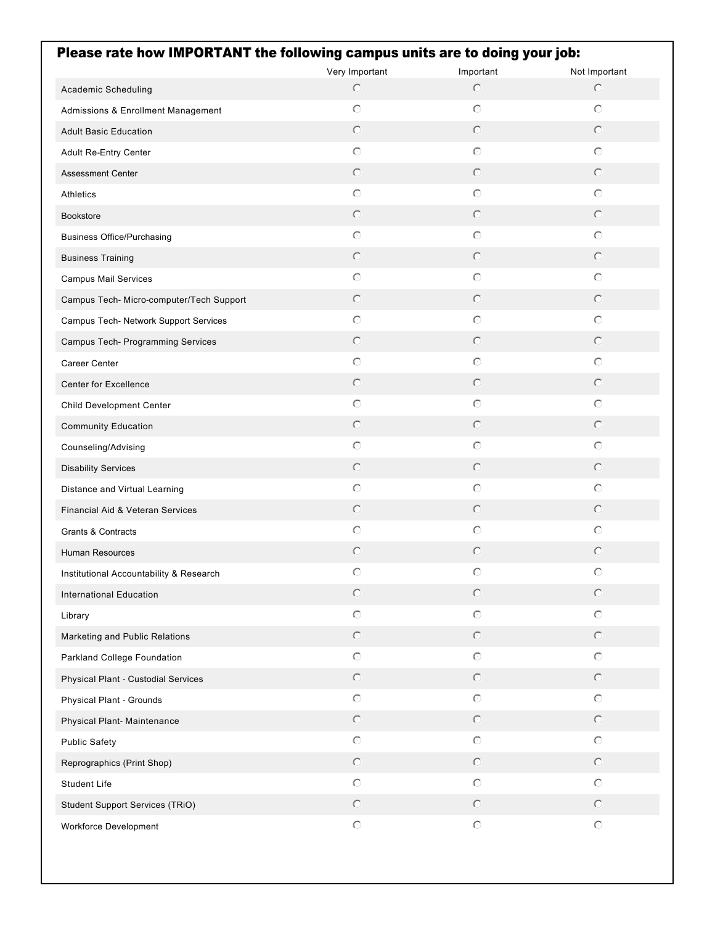| Very Important<br>Important<br>Not Important<br>$\circ$<br>$\circ$<br>$\circ$<br>Academic Scheduling<br>$\circ$<br>$\circ$<br>$\circ$<br>Admissions & Enrollment Management<br>$\bigcirc$<br>$\circ$<br>$\circ$<br><b>Adult Basic Education</b><br>$\circ$<br>$\circ$<br>$\circ$<br>Adult Re-Entry Center<br>$\circ$<br>$\bigcirc$<br>$\circ$<br><b>Assessment Center</b><br>$\circ$<br>$\circ$<br>$\circ$<br><b>Athletics</b><br>$\circ$<br>$\bigcirc$<br>$\circ$<br><b>Bookstore</b><br>$\circ$<br>$\circ$<br>$\circ$<br><b>Business Office/Purchasing</b><br>$\circ$<br>$\bigcirc$<br>$\circ$<br><b>Business Training</b><br>$\circ$<br>$\circ$<br>$\circ$<br><b>Campus Mail Services</b><br>$\circ$<br>$\bigcirc$<br>$\circ$<br>Campus Tech- Micro-computer/Tech Support<br>$\circ$<br>$\circ$<br>$\circ$<br>Campus Tech- Network Support Services<br>$\circ$<br>$\bigcirc$<br>$\circ$<br>Campus Tech- Programming Services<br>$\circ$<br>$\circ$<br>$\circ$<br>Career Center<br>$\circ$<br>$\bigcirc$<br>$\circ$<br>Center for Excellence<br>$\circ$<br>$\circ$<br>$\circ$<br>Child Development Center<br>$\bigcirc$<br>$\odot$<br>$\bigcirc$<br><b>Community Education</b><br>$\circ$<br>$\circ$<br>$\circ$<br>Counseling/Advising<br>$\bigcirc$<br>$\circ$<br>$\bigcirc$<br><b>Disability Services</b><br>$\circ$<br>$\circ$<br>$\circ$<br>Distance and Virtual Learning<br>$\odot$<br>$\odot$<br>$\bigcirc$<br>Financial Aid & Veteran Services<br>$\circ$<br>$\circ$<br>$\circ$<br>Grants & Contracts<br>$\odot$<br>$\circ$<br>$\circ$<br><b>Human Resources</b><br>$\circ$<br>$\circ$<br>$\circ$<br>Institutional Accountability & Research<br>$\circ$<br>$\circ$<br>$\circ$<br><b>International Education</b><br>$\circlearrowright$<br>$\odot$<br>$\odot$<br>Library<br>$\circledcirc$<br>$\circledcirc$<br>$\circledcirc$<br>Marketing and Public Relations<br>$\circ$<br>$\odot$<br>$\circ$<br>Parkland College Foundation<br>$\circledcirc$<br>$\circledcirc$<br>$\circledcirc$<br>Physical Plant - Custodial Services<br>$\odot$<br>$\circlearrowright$<br>$\odot$<br>Physical Plant - Grounds<br>$\circ$<br>$\circ$<br>$\circ$<br>Physical Plant- Maintenance<br>$\circ$<br>$\circ$<br>$\odot$<br><b>Public Safety</b><br>$\circledcirc$<br>$\circ$<br>$\circ$<br>Reprographics (Print Shop)<br>$\circ$<br>$\circ$<br>$\circ$<br>Student Life<br>$\circ$<br>$\odot$<br>$\circ$<br>Student Support Services (TRiO)<br>$\odot$<br>$\bigcirc$<br>$\odot$<br>Workforce Development | Please rate how IMPORTANT the following campus units are to doing your job: |  |  |
|-------------------------------------------------------------------------------------------------------------------------------------------------------------------------------------------------------------------------------------------------------------------------------------------------------------------------------------------------------------------------------------------------------------------------------------------------------------------------------------------------------------------------------------------------------------------------------------------------------------------------------------------------------------------------------------------------------------------------------------------------------------------------------------------------------------------------------------------------------------------------------------------------------------------------------------------------------------------------------------------------------------------------------------------------------------------------------------------------------------------------------------------------------------------------------------------------------------------------------------------------------------------------------------------------------------------------------------------------------------------------------------------------------------------------------------------------------------------------------------------------------------------------------------------------------------------------------------------------------------------------------------------------------------------------------------------------------------------------------------------------------------------------------------------------------------------------------------------------------------------------------------------------------------------------------------------------------------------------------------------------------------------------------------------------------------------------------------------------------------------------------------------------------------------------------------------------------------------------------------------------------------------------------------------------------------------------------------------------------------------------------------------------------------------------------------------------------------------------------------------------|-----------------------------------------------------------------------------|--|--|
|                                                                                                                                                                                                                                                                                                                                                                                                                                                                                                                                                                                                                                                                                                                                                                                                                                                                                                                                                                                                                                                                                                                                                                                                                                                                                                                                                                                                                                                                                                                                                                                                                                                                                                                                                                                                                                                                                                                                                                                                                                                                                                                                                                                                                                                                                                                                                                                                                                                                                                 |                                                                             |  |  |
|                                                                                                                                                                                                                                                                                                                                                                                                                                                                                                                                                                                                                                                                                                                                                                                                                                                                                                                                                                                                                                                                                                                                                                                                                                                                                                                                                                                                                                                                                                                                                                                                                                                                                                                                                                                                                                                                                                                                                                                                                                                                                                                                                                                                                                                                                                                                                                                                                                                                                                 |                                                                             |  |  |
|                                                                                                                                                                                                                                                                                                                                                                                                                                                                                                                                                                                                                                                                                                                                                                                                                                                                                                                                                                                                                                                                                                                                                                                                                                                                                                                                                                                                                                                                                                                                                                                                                                                                                                                                                                                                                                                                                                                                                                                                                                                                                                                                                                                                                                                                                                                                                                                                                                                                                                 |                                                                             |  |  |
|                                                                                                                                                                                                                                                                                                                                                                                                                                                                                                                                                                                                                                                                                                                                                                                                                                                                                                                                                                                                                                                                                                                                                                                                                                                                                                                                                                                                                                                                                                                                                                                                                                                                                                                                                                                                                                                                                                                                                                                                                                                                                                                                                                                                                                                                                                                                                                                                                                                                                                 |                                                                             |  |  |
|                                                                                                                                                                                                                                                                                                                                                                                                                                                                                                                                                                                                                                                                                                                                                                                                                                                                                                                                                                                                                                                                                                                                                                                                                                                                                                                                                                                                                                                                                                                                                                                                                                                                                                                                                                                                                                                                                                                                                                                                                                                                                                                                                                                                                                                                                                                                                                                                                                                                                                 |                                                                             |  |  |
|                                                                                                                                                                                                                                                                                                                                                                                                                                                                                                                                                                                                                                                                                                                                                                                                                                                                                                                                                                                                                                                                                                                                                                                                                                                                                                                                                                                                                                                                                                                                                                                                                                                                                                                                                                                                                                                                                                                                                                                                                                                                                                                                                                                                                                                                                                                                                                                                                                                                                                 |                                                                             |  |  |
|                                                                                                                                                                                                                                                                                                                                                                                                                                                                                                                                                                                                                                                                                                                                                                                                                                                                                                                                                                                                                                                                                                                                                                                                                                                                                                                                                                                                                                                                                                                                                                                                                                                                                                                                                                                                                                                                                                                                                                                                                                                                                                                                                                                                                                                                                                                                                                                                                                                                                                 |                                                                             |  |  |
|                                                                                                                                                                                                                                                                                                                                                                                                                                                                                                                                                                                                                                                                                                                                                                                                                                                                                                                                                                                                                                                                                                                                                                                                                                                                                                                                                                                                                                                                                                                                                                                                                                                                                                                                                                                                                                                                                                                                                                                                                                                                                                                                                                                                                                                                                                                                                                                                                                                                                                 |                                                                             |  |  |
|                                                                                                                                                                                                                                                                                                                                                                                                                                                                                                                                                                                                                                                                                                                                                                                                                                                                                                                                                                                                                                                                                                                                                                                                                                                                                                                                                                                                                                                                                                                                                                                                                                                                                                                                                                                                                                                                                                                                                                                                                                                                                                                                                                                                                                                                                                                                                                                                                                                                                                 |                                                                             |  |  |
|                                                                                                                                                                                                                                                                                                                                                                                                                                                                                                                                                                                                                                                                                                                                                                                                                                                                                                                                                                                                                                                                                                                                                                                                                                                                                                                                                                                                                                                                                                                                                                                                                                                                                                                                                                                                                                                                                                                                                                                                                                                                                                                                                                                                                                                                                                                                                                                                                                                                                                 |                                                                             |  |  |
|                                                                                                                                                                                                                                                                                                                                                                                                                                                                                                                                                                                                                                                                                                                                                                                                                                                                                                                                                                                                                                                                                                                                                                                                                                                                                                                                                                                                                                                                                                                                                                                                                                                                                                                                                                                                                                                                                                                                                                                                                                                                                                                                                                                                                                                                                                                                                                                                                                                                                                 |                                                                             |  |  |
|                                                                                                                                                                                                                                                                                                                                                                                                                                                                                                                                                                                                                                                                                                                                                                                                                                                                                                                                                                                                                                                                                                                                                                                                                                                                                                                                                                                                                                                                                                                                                                                                                                                                                                                                                                                                                                                                                                                                                                                                                                                                                                                                                                                                                                                                                                                                                                                                                                                                                                 |                                                                             |  |  |
|                                                                                                                                                                                                                                                                                                                                                                                                                                                                                                                                                                                                                                                                                                                                                                                                                                                                                                                                                                                                                                                                                                                                                                                                                                                                                                                                                                                                                                                                                                                                                                                                                                                                                                                                                                                                                                                                                                                                                                                                                                                                                                                                                                                                                                                                                                                                                                                                                                                                                                 |                                                                             |  |  |
|                                                                                                                                                                                                                                                                                                                                                                                                                                                                                                                                                                                                                                                                                                                                                                                                                                                                                                                                                                                                                                                                                                                                                                                                                                                                                                                                                                                                                                                                                                                                                                                                                                                                                                                                                                                                                                                                                                                                                                                                                                                                                                                                                                                                                                                                                                                                                                                                                                                                                                 |                                                                             |  |  |
|                                                                                                                                                                                                                                                                                                                                                                                                                                                                                                                                                                                                                                                                                                                                                                                                                                                                                                                                                                                                                                                                                                                                                                                                                                                                                                                                                                                                                                                                                                                                                                                                                                                                                                                                                                                                                                                                                                                                                                                                                                                                                                                                                                                                                                                                                                                                                                                                                                                                                                 |                                                                             |  |  |
|                                                                                                                                                                                                                                                                                                                                                                                                                                                                                                                                                                                                                                                                                                                                                                                                                                                                                                                                                                                                                                                                                                                                                                                                                                                                                                                                                                                                                                                                                                                                                                                                                                                                                                                                                                                                                                                                                                                                                                                                                                                                                                                                                                                                                                                                                                                                                                                                                                                                                                 |                                                                             |  |  |
|                                                                                                                                                                                                                                                                                                                                                                                                                                                                                                                                                                                                                                                                                                                                                                                                                                                                                                                                                                                                                                                                                                                                                                                                                                                                                                                                                                                                                                                                                                                                                                                                                                                                                                                                                                                                                                                                                                                                                                                                                                                                                                                                                                                                                                                                                                                                                                                                                                                                                                 |                                                                             |  |  |
|                                                                                                                                                                                                                                                                                                                                                                                                                                                                                                                                                                                                                                                                                                                                                                                                                                                                                                                                                                                                                                                                                                                                                                                                                                                                                                                                                                                                                                                                                                                                                                                                                                                                                                                                                                                                                                                                                                                                                                                                                                                                                                                                                                                                                                                                                                                                                                                                                                                                                                 |                                                                             |  |  |
|                                                                                                                                                                                                                                                                                                                                                                                                                                                                                                                                                                                                                                                                                                                                                                                                                                                                                                                                                                                                                                                                                                                                                                                                                                                                                                                                                                                                                                                                                                                                                                                                                                                                                                                                                                                                                                                                                                                                                                                                                                                                                                                                                                                                                                                                                                                                                                                                                                                                                                 |                                                                             |  |  |
|                                                                                                                                                                                                                                                                                                                                                                                                                                                                                                                                                                                                                                                                                                                                                                                                                                                                                                                                                                                                                                                                                                                                                                                                                                                                                                                                                                                                                                                                                                                                                                                                                                                                                                                                                                                                                                                                                                                                                                                                                                                                                                                                                                                                                                                                                                                                                                                                                                                                                                 |                                                                             |  |  |
|                                                                                                                                                                                                                                                                                                                                                                                                                                                                                                                                                                                                                                                                                                                                                                                                                                                                                                                                                                                                                                                                                                                                                                                                                                                                                                                                                                                                                                                                                                                                                                                                                                                                                                                                                                                                                                                                                                                                                                                                                                                                                                                                                                                                                                                                                                                                                                                                                                                                                                 |                                                                             |  |  |
|                                                                                                                                                                                                                                                                                                                                                                                                                                                                                                                                                                                                                                                                                                                                                                                                                                                                                                                                                                                                                                                                                                                                                                                                                                                                                                                                                                                                                                                                                                                                                                                                                                                                                                                                                                                                                                                                                                                                                                                                                                                                                                                                                                                                                                                                                                                                                                                                                                                                                                 |                                                                             |  |  |
|                                                                                                                                                                                                                                                                                                                                                                                                                                                                                                                                                                                                                                                                                                                                                                                                                                                                                                                                                                                                                                                                                                                                                                                                                                                                                                                                                                                                                                                                                                                                                                                                                                                                                                                                                                                                                                                                                                                                                                                                                                                                                                                                                                                                                                                                                                                                                                                                                                                                                                 |                                                                             |  |  |
|                                                                                                                                                                                                                                                                                                                                                                                                                                                                                                                                                                                                                                                                                                                                                                                                                                                                                                                                                                                                                                                                                                                                                                                                                                                                                                                                                                                                                                                                                                                                                                                                                                                                                                                                                                                                                                                                                                                                                                                                                                                                                                                                                                                                                                                                                                                                                                                                                                                                                                 |                                                                             |  |  |
|                                                                                                                                                                                                                                                                                                                                                                                                                                                                                                                                                                                                                                                                                                                                                                                                                                                                                                                                                                                                                                                                                                                                                                                                                                                                                                                                                                                                                                                                                                                                                                                                                                                                                                                                                                                                                                                                                                                                                                                                                                                                                                                                                                                                                                                                                                                                                                                                                                                                                                 |                                                                             |  |  |
|                                                                                                                                                                                                                                                                                                                                                                                                                                                                                                                                                                                                                                                                                                                                                                                                                                                                                                                                                                                                                                                                                                                                                                                                                                                                                                                                                                                                                                                                                                                                                                                                                                                                                                                                                                                                                                                                                                                                                                                                                                                                                                                                                                                                                                                                                                                                                                                                                                                                                                 |                                                                             |  |  |
|                                                                                                                                                                                                                                                                                                                                                                                                                                                                                                                                                                                                                                                                                                                                                                                                                                                                                                                                                                                                                                                                                                                                                                                                                                                                                                                                                                                                                                                                                                                                                                                                                                                                                                                                                                                                                                                                                                                                                                                                                                                                                                                                                                                                                                                                                                                                                                                                                                                                                                 |                                                                             |  |  |
|                                                                                                                                                                                                                                                                                                                                                                                                                                                                                                                                                                                                                                                                                                                                                                                                                                                                                                                                                                                                                                                                                                                                                                                                                                                                                                                                                                                                                                                                                                                                                                                                                                                                                                                                                                                                                                                                                                                                                                                                                                                                                                                                                                                                                                                                                                                                                                                                                                                                                                 |                                                                             |  |  |
|                                                                                                                                                                                                                                                                                                                                                                                                                                                                                                                                                                                                                                                                                                                                                                                                                                                                                                                                                                                                                                                                                                                                                                                                                                                                                                                                                                                                                                                                                                                                                                                                                                                                                                                                                                                                                                                                                                                                                                                                                                                                                                                                                                                                                                                                                                                                                                                                                                                                                                 |                                                                             |  |  |
|                                                                                                                                                                                                                                                                                                                                                                                                                                                                                                                                                                                                                                                                                                                                                                                                                                                                                                                                                                                                                                                                                                                                                                                                                                                                                                                                                                                                                                                                                                                                                                                                                                                                                                                                                                                                                                                                                                                                                                                                                                                                                                                                                                                                                                                                                                                                                                                                                                                                                                 |                                                                             |  |  |
|                                                                                                                                                                                                                                                                                                                                                                                                                                                                                                                                                                                                                                                                                                                                                                                                                                                                                                                                                                                                                                                                                                                                                                                                                                                                                                                                                                                                                                                                                                                                                                                                                                                                                                                                                                                                                                                                                                                                                                                                                                                                                                                                                                                                                                                                                                                                                                                                                                                                                                 |                                                                             |  |  |
|                                                                                                                                                                                                                                                                                                                                                                                                                                                                                                                                                                                                                                                                                                                                                                                                                                                                                                                                                                                                                                                                                                                                                                                                                                                                                                                                                                                                                                                                                                                                                                                                                                                                                                                                                                                                                                                                                                                                                                                                                                                                                                                                                                                                                                                                                                                                                                                                                                                                                                 |                                                                             |  |  |
|                                                                                                                                                                                                                                                                                                                                                                                                                                                                                                                                                                                                                                                                                                                                                                                                                                                                                                                                                                                                                                                                                                                                                                                                                                                                                                                                                                                                                                                                                                                                                                                                                                                                                                                                                                                                                                                                                                                                                                                                                                                                                                                                                                                                                                                                                                                                                                                                                                                                                                 |                                                                             |  |  |
|                                                                                                                                                                                                                                                                                                                                                                                                                                                                                                                                                                                                                                                                                                                                                                                                                                                                                                                                                                                                                                                                                                                                                                                                                                                                                                                                                                                                                                                                                                                                                                                                                                                                                                                                                                                                                                                                                                                                                                                                                                                                                                                                                                                                                                                                                                                                                                                                                                                                                                 |                                                                             |  |  |
|                                                                                                                                                                                                                                                                                                                                                                                                                                                                                                                                                                                                                                                                                                                                                                                                                                                                                                                                                                                                                                                                                                                                                                                                                                                                                                                                                                                                                                                                                                                                                                                                                                                                                                                                                                                                                                                                                                                                                                                                                                                                                                                                                                                                                                                                                                                                                                                                                                                                                                 |                                                                             |  |  |
|                                                                                                                                                                                                                                                                                                                                                                                                                                                                                                                                                                                                                                                                                                                                                                                                                                                                                                                                                                                                                                                                                                                                                                                                                                                                                                                                                                                                                                                                                                                                                                                                                                                                                                                                                                                                                                                                                                                                                                                                                                                                                                                                                                                                                                                                                                                                                                                                                                                                                                 |                                                                             |  |  |
|                                                                                                                                                                                                                                                                                                                                                                                                                                                                                                                                                                                                                                                                                                                                                                                                                                                                                                                                                                                                                                                                                                                                                                                                                                                                                                                                                                                                                                                                                                                                                                                                                                                                                                                                                                                                                                                                                                                                                                                                                                                                                                                                                                                                                                                                                                                                                                                                                                                                                                 |                                                                             |  |  |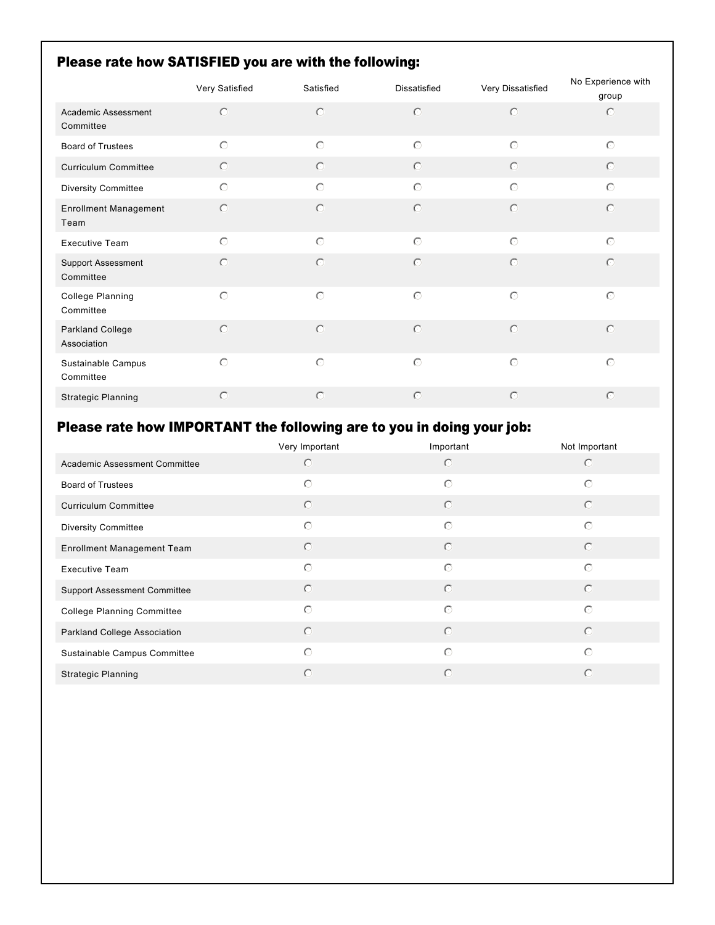# Please rate how SATISFIED you are with the following:

|                                      | Very Satisfied | Satisfied  | <b>Dissatisfied</b> | Very Dissatisfied | No Experience with |
|--------------------------------------|----------------|------------|---------------------|-------------------|--------------------|
|                                      |                |            |                     |                   | group              |
| Academic Assessment<br>Committee     | $\bigcirc$     | $\circ$    | $\circ$             | $\circ$           | $\circ$            |
| <b>Board of Trustees</b>             | $\circ$        | $\circ$    | $\circ$             | $\circ$           | $\circ$            |
| <b>Curriculum Committee</b>          | $\circ$        | $\circ$    | $\odot$             | $\circ$           | $\bigcirc$         |
| <b>Diversity Committee</b>           | $\circ$        | $\odot$    | $\bigcirc$          | $\circ$           | $\odot$            |
| <b>Enrollment Management</b><br>Team | $\circ$        | $\circ$    | $\circ$             | $\circ$           | $\odot$            |
| <b>Executive Team</b>                | $\circ$        | $\circ$    | $\circ$             | $\circ$           | $\odot$            |
| Support Assessment<br>Committee      | $\bigcirc$     | $\circ$    | $\circ$             | $\circ$           | $\circ$            |
| College Planning<br>Committee        | $\circ$        | $\circ$    | $\circ$             | $\circ$           | $\circ$            |
| Parkland College<br>Association      | $\bigcap$      | $\bigcirc$ | $\bigcirc$          | $\bigcirc$        | $\bigcirc$         |
| Sustainable Campus<br>Committee      | $\bigcirc$     | $\odot$    | $\bigcirc$          | $\circ$           | $\bigcirc$         |
| <b>Strategic Planning</b>            | $\circ$        | $\circ$    | $\circ$             | $\circ$           | $\circ$            |

# Please rate how IMPORTANT the following are to you in doing your job:

|                                     | Very Important | Important  | Not Important |
|-------------------------------------|----------------|------------|---------------|
| Academic Assessment Committee       | $\circ$        | $\circ$    | $\odot$       |
| <b>Board of Trustees</b>            | $\circ$        | $\circ$    | $\bigcirc$    |
| <b>Curriculum Committee</b>         | $\circ$        | $\circ$    | $\circ$       |
| <b>Diversity Committee</b>          | $\odot$        | $\bigcirc$ | $\bigcirc$    |
| Enrollment Management Team          | $\circ$        | $\circ$    | $\odot$       |
| <b>Executive Team</b>               | $\odot$        | $\bigcirc$ | $\bigcirc$    |
| <b>Support Assessment Committee</b> | $\circ$        | $\circ$    | $\bigcirc$    |
| <b>College Planning Committee</b>   | $\bigcirc$     | $\odot$    | $\bigcirc$    |
| Parkland College Association        | $\circ$        | $\circ$    | $\odot$       |
| Sustainable Campus Committee        | $\bigcirc$     | $\bigcirc$ | $\bigcirc$    |
| <b>Strategic Planning</b>           | $\bigcap$      | $\bigcirc$ | $\bigcap$     |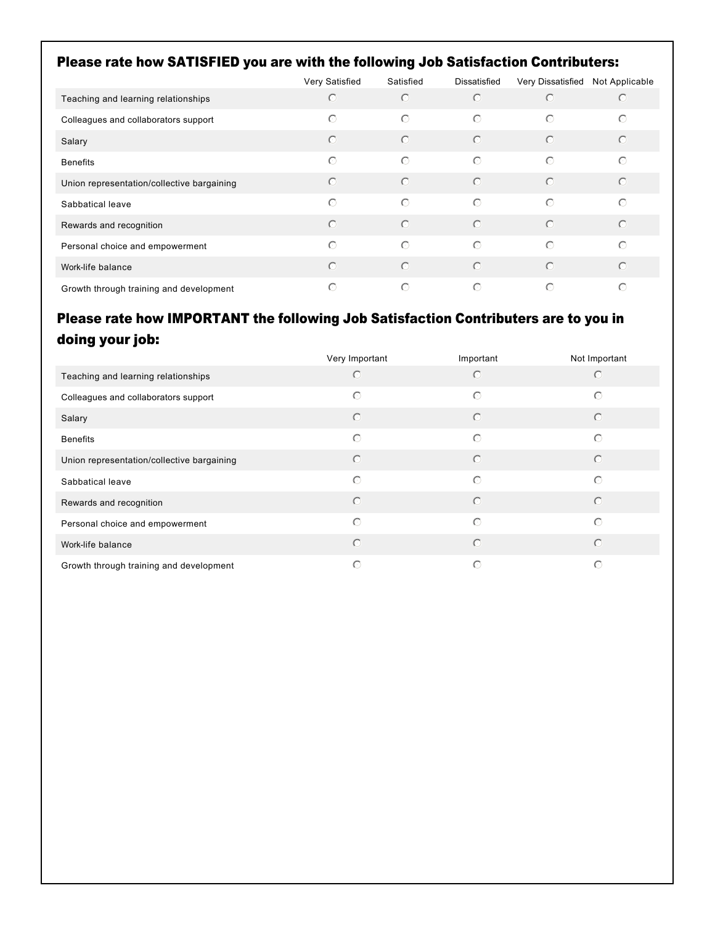### Please rate how SATISFIED you are with the following Job Satisfaction Contributers:

|                                            | Very Satisfied | Satisfied  | Dissatisfied | Very Dissatisfied | Not Applicable |
|--------------------------------------------|----------------|------------|--------------|-------------------|----------------|
| Teaching and learning relationships        | $\bigcirc$     | $\bigcirc$ | $\bigcirc$   | $\bigcirc$        | $\bigcirc$     |
| Colleagues and collaborators support       | $\odot$        | $\bigcirc$ | $\bigcirc$   | $\bigcirc$        | $\bigcirc$     |
| Salary                                     | $\bigcirc$     | $\bigcirc$ | $\odot$      | $\odot$           | $\odot$        |
| <b>Benefits</b>                            | $\bigcirc$     | $\bigcirc$ | $\bigcirc$   | $\odot$           | $\bigcirc$     |
| Union representation/collective bargaining | $\odot$        | $\bigcirc$ | $\odot$      | $\odot$           | $\odot$        |
| Sabbatical leave                           | $\bigcirc$     | $\bigcirc$ | $\bigcirc$   | $\odot$           | $\odot$        |
| Rewards and recognition                    | $\odot$        | $\odot$    | $\odot$      | $\odot$           | $\odot$        |
| Personal choice and empowerment            | $\odot$        | $\bigcirc$ | $\bigcirc$   | $\odot$           | $\bigcirc$     |
| Work-life balance                          | $\odot$        | $\bigcirc$ | $\odot$      | $\odot$           | $\odot$        |
| Growth through training and development    | $\circ$        | $\odot$    | $\bigcirc$   | $\bigcap$         | $\odot$        |

# Please rate how IMPORTANT the following Job Satisfaction Contributers are to you in doing your job:

|                                            | Very Important | Important  | Not Important |
|--------------------------------------------|----------------|------------|---------------|
| Teaching and learning relationships        | ∩              | ∩          | ∩             |
| Colleagues and collaborators support       | $\bigcirc$     | $\bigcirc$ | $\odot$       |
| Salary                                     | $\odot$        | $\bigcirc$ | $\bigcirc$    |
| <b>Benefits</b>                            | $\bigcirc$     | $\bigcirc$ | $\bigcirc$    |
| Union representation/collective bargaining | $\odot$        | $\bigcirc$ | $\bigcirc$    |
| Sabbatical leave                           | $\odot$        | $\bigcirc$ | $\bigcap$     |
| Rewards and recognition                    | $\odot$        | $\bigcirc$ | $\bigcirc$    |
| Personal choice and empowerment            | $\bigcirc$     | $\bigcirc$ | $\bigcap$     |
| Work-life balance                          | $\odot$        | $\bigcirc$ | $\bigcirc$    |
| Growth through training and development    | ∩              | O          | ∩             |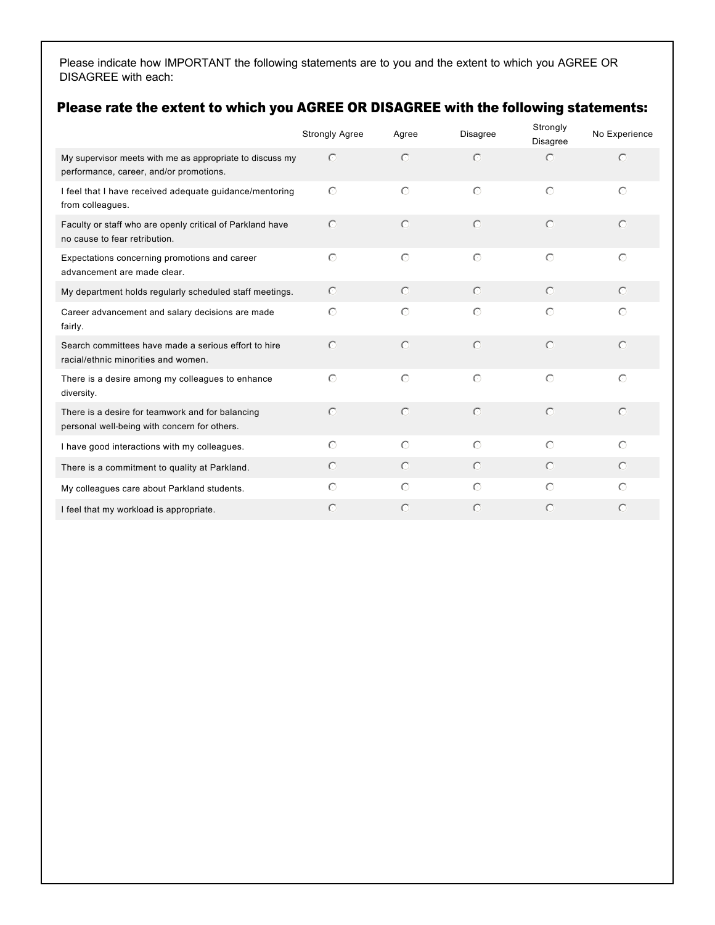Please indicate how IMPORTANT the following statements are to you and the extent to which you AGREE OR DISAGREE with each:

### Please rate the extent to which you AGREE OR DISAGREE with the following statements:

|                                                                                                     | <b>Strongly Agree</b> | Agree      | <b>Disagree</b> | Strongly<br><b>Disagree</b> | No Experience |
|-----------------------------------------------------------------------------------------------------|-----------------------|------------|-----------------|-----------------------------|---------------|
| My supervisor meets with me as appropriate to discuss my<br>performance, career, and/or promotions. | $\bigcirc$            | $\bigcap$  | $\odot$         | $\bigcap$                   | $\bigcirc$    |
| I feel that I have received adequate guidance/mentoring<br>from colleagues.                         | $\bigcirc$            | $\bigcap$  | $\bigcirc$      | $\bigcap$                   | $\bigcap$     |
| Faculty or staff who are openly critical of Parkland have<br>no cause to fear retribution.          | $\bigcirc$            | $\bigcap$  | $\odot$         | $\odot$                     | $\odot$       |
| Expectations concerning promotions and career<br>advancement are made clear.                        | $\bigcirc$            | $\bigcirc$ | $\bigcirc$      | $\bigcirc$                  | $\odot$       |
| My department holds regularly scheduled staff meetings.                                             | $\odot$               | $\odot$    | $\odot$         | $\odot$                     | $\odot$       |
| Career advancement and salary decisions are made<br>fairly.                                         | $\bigcirc$            | $\bigcap$  | $\bigcirc$      | $\bigcap$                   | $\bigcap$     |
| Search committees have made a serious effort to hire<br>racial/ethnic minorities and women.         | $\bigcap$             | $\bigcap$  | $\odot$         | $\odot$                     | $\bigcap$     |
| There is a desire among my colleagues to enhance<br>diversity.                                      | $\bigcirc$            | $\bigcap$  | $\bigcirc$      | $\bigcirc$                  | $\odot$       |
| There is a desire for teamwork and for balancing<br>personal well-being with concern for others.    | $\bigcap$             | $\bigcap$  | $\bigcap$       | $\bigcap$                   | $\odot$       |
| I have good interactions with my colleagues.                                                        | $\bigcirc$            | $\bigcirc$ | $\bigcap$       | $\odot$                     | $\odot$       |
| There is a commitment to quality at Parkland.                                                       | $\odot$               | $\odot$    | $\bigcirc$      | $\bigcirc$                  | $\odot$       |
| My colleagues care about Parkland students.                                                         | $\odot$               | $\bigcap$  | $\odot$         | $\odot$                     | ∩             |
| I feel that my workload is appropriate.                                                             | $\bigcap$             | C          | $\subset$       | $\subset$                   | $\bigcap$     |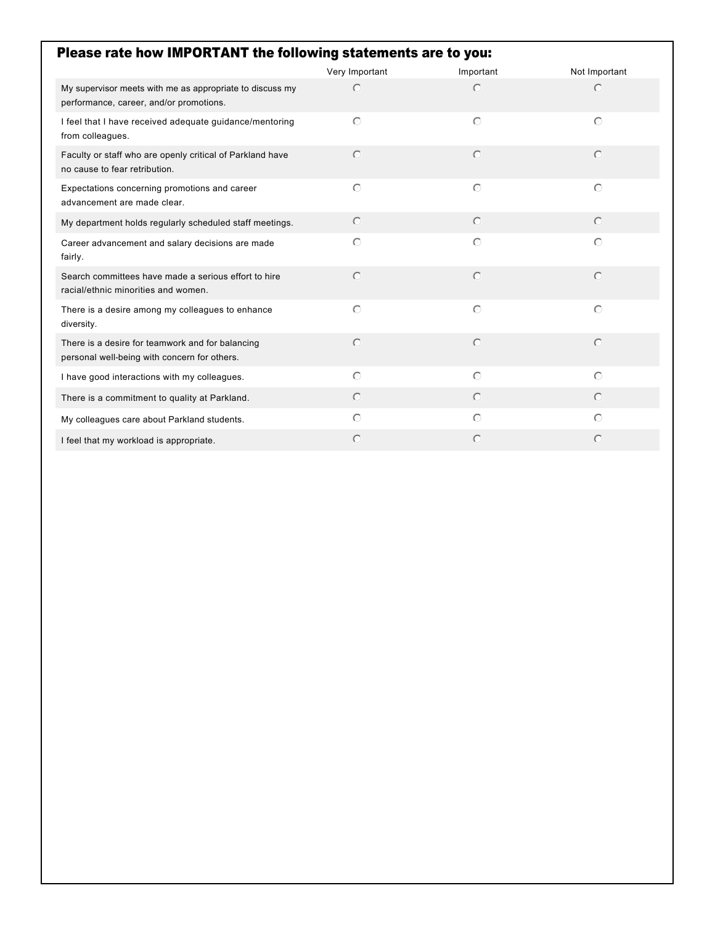| Please rate how IMPORTANT the following statements are to you:                                      |                |            |               |  |  |
|-----------------------------------------------------------------------------------------------------|----------------|------------|---------------|--|--|
|                                                                                                     | Very Important | Important  | Not Important |  |  |
| My supervisor meets with me as appropriate to discuss my<br>performance, career, and/or promotions. | $\subset$      | $\bigcirc$ | $\bigcirc$    |  |  |
| I feel that I have received adequate guidance/mentoring<br>from colleagues.                         | $\bigcap$      | $\bigcirc$ | $\odot$       |  |  |
| Faculty or staff who are openly critical of Parkland have<br>no cause to fear retribution.          | $\bigcirc$     | $\bigcirc$ | $\bigcirc$    |  |  |
| Expectations concerning promotions and career<br>advancement are made clear.                        | $\bigcap$      | $\odot$    | $\odot$       |  |  |
| My department holds regularly scheduled staff meetings.                                             | $\odot$        | $\bigcirc$ | $\bigcap$     |  |  |
| Career advancement and salary decisions are made<br>fairly.                                         | $\odot$        | $\bigcirc$ | $\odot$       |  |  |
| Search committees have made a serious effort to hire<br>racial/ethnic minorities and women.         | $\bigcap$      | $\bigcap$  | $\bigcap$     |  |  |
| There is a desire among my colleagues to enhance<br>diversity.                                      | $\bigcap$      | $\bigcap$  | $\bigcap$     |  |  |
| There is a desire for teamwork and for balancing<br>personal well-being with concern for others.    | $\bigcap$      | $\bigcap$  | $\bigcap$     |  |  |
| I have good interactions with my colleagues.                                                        | $\bigcap$      | $\bigcap$  | $\bigcap$     |  |  |
| There is a commitment to quality at Parkland.                                                       | $\odot$        | $\bigcap$  | $\bigcap$     |  |  |
| My colleagues care about Parkland students.                                                         | $\odot$        | $\bigcap$  | $\bigcirc$    |  |  |
| I feel that my workload is appropriate.                                                             | $\bigcap$      | $\bigcap$  | $\bigcap$     |  |  |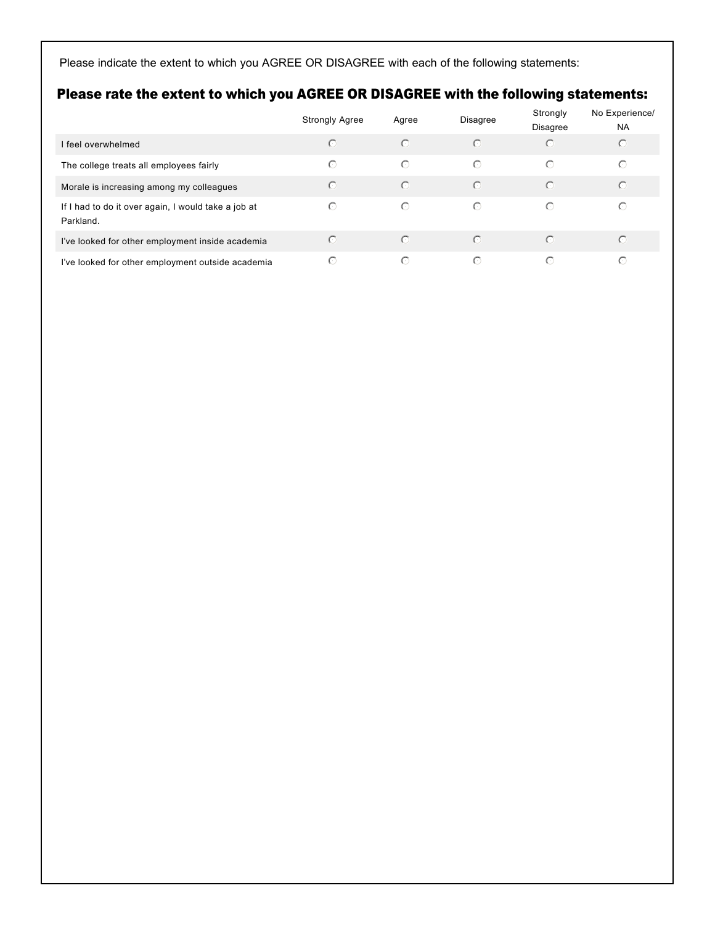Please indicate the extent to which you AGREE OR DISAGREE with each of the following statements:

### Please rate the extent to which you AGREE OR DISAGREE with the following statements:

|                                                                  | <b>Strongly Agree</b> | Agree      | <b>Disagree</b> | Strongly<br>Disagree | No Experience/<br><b>NA</b> |
|------------------------------------------------------------------|-----------------------|------------|-----------------|----------------------|-----------------------------|
| I feel overwhelmed                                               | $\odot$               | $\odot$    | $\odot$         | $\bigcirc$           | $\odot$                     |
| The college treats all employees fairly                          | $\odot$               | $\bigcirc$ | $\bigcirc$      | $\bigcirc$           | $\circ$                     |
| Morale is increasing among my colleagues                         | $\odot$               | $\odot$    | $\circ$         | $\odot$              | $\bigcirc$                  |
| If I had to do it over again, I would take a job at<br>Parkland. | $\odot$               | $\odot$    | $\bigcirc$      | $\bigcirc$           | ⊙                           |
| I've looked for other employment inside academia                 | $\bigcirc$            | $\odot$    | $\bigcap$       | ∩                    | $\bigcirc$                  |
| I've looked for other employment outside academia                | $\odot$               | $\odot$    | $\bigcirc$      | ∩                    | ⊙                           |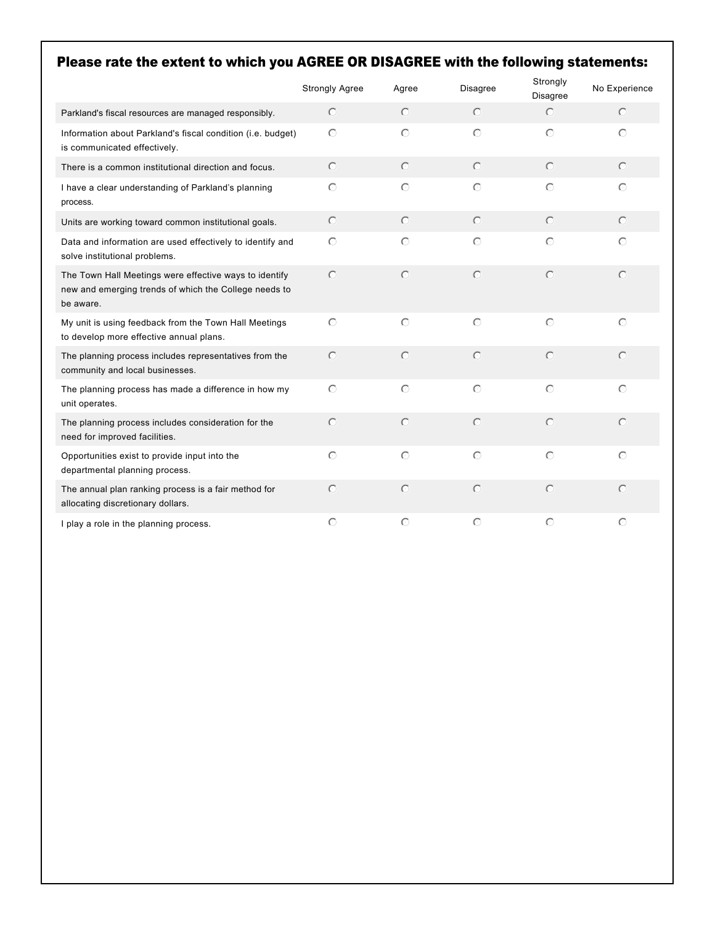# Please rate the extent to which you AGREE OR DISAGREE with the following statements:

|                                                                                                                              | <b>Strongly Agree</b> | Agree      | <b>Disagree</b> | Strongly<br>Disagree | No Experience |
|------------------------------------------------------------------------------------------------------------------------------|-----------------------|------------|-----------------|----------------------|---------------|
| Parkland's fiscal resources are managed responsibly.                                                                         | $\circ$               | $\bigcirc$ | $\circ$         | $\circ$              | $\odot$       |
| Information about Parkland's fiscal condition (i.e. budget)<br>is communicated effectively.                                  | $\odot$               | $\bigcirc$ | $\odot$         | $\bigcirc$           | $\odot$       |
| There is a common institutional direction and focus.                                                                         | $\circ$               | $\circ$    | $\circ$         | $\circ$              | $\circ$       |
| I have a clear understanding of Parkland's planning<br>process.                                                              | $\circ$               | $\circ$    | $\bigcirc$      | $\odot$              | $\odot$       |
| Units are working toward common institutional goals.                                                                         | $\circ$               | $\circ$    | $\circ$         | $\odot$              | $\odot$       |
| Data and information are used effectively to identify and<br>solve institutional problems.                                   | $\circ$               | $\bigcirc$ | $\bigcirc$      | $\odot$              | $\bigcirc$    |
| The Town Hall Meetings were effective ways to identify<br>new and emerging trends of which the College needs to<br>be aware. | $\circ$               | $\odot$    | $\bigcirc$      | $\bigcirc$           | $\odot$       |
| My unit is using feedback from the Town Hall Meetings<br>to develop more effective annual plans.                             | $\bigcirc$            | $\odot$    | $\bigcirc$      | $\bigcirc$           | $\odot$       |
| The planning process includes representatives from the<br>community and local businesses.                                    | $\bigcirc$            | $\odot$    | $\bigcirc$      | $\bigcirc$           | $\bigcirc$    |
| The planning process has made a difference in how my<br>unit operates.                                                       | $\circ$               | $\circ$    | $\circ$         | $\bigcirc$           | $\circ$       |
| The planning process includes consideration for the<br>need for improved facilities.                                         | $\bigcirc$            | $\bigcirc$ | $\bigcirc$      | $\bigcirc$           | $\bigcap$     |
| Opportunities exist to provide input into the<br>departmental planning process.                                              | $\circ$               | $\bigcirc$ | $\bigcirc$      | $\bigcirc$           | $\odot$       |
| The annual plan ranking process is a fair method for<br>allocating discretionary dollars.                                    | $\circ$               | $\circ$    | $\bigcirc$      | $\bigcirc$           | $\odot$       |
| I play a role in the planning process.                                                                                       | $\odot$               | $\bigcirc$ | $\bigcirc$      | $\bigcirc$           | $\bigcirc$    |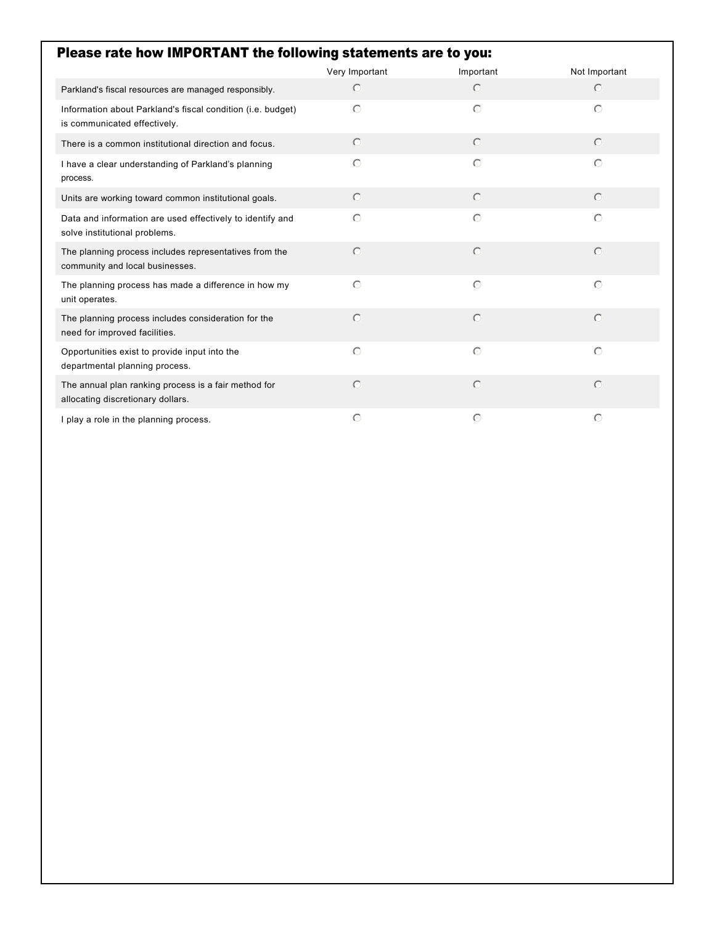| Please rate how IMPORTANT the following statements are to you:                              |                |            |               |  |  |
|---------------------------------------------------------------------------------------------|----------------|------------|---------------|--|--|
|                                                                                             | Very Important | Important  | Not Important |  |  |
| Parkland's fiscal resources are managed responsibly.                                        | $\odot$        | $\odot$    | $\odot$       |  |  |
| Information about Parkland's fiscal condition (i.e. budget)<br>is communicated effectively. | $\odot$        | $\bigcirc$ | $\bigcirc$    |  |  |
| There is a common institutional direction and focus.                                        | $\odot$        | $\circ$    | $\odot$       |  |  |
| I have a clear understanding of Parkland's planning<br>process.                             | $\bigcirc$     | $\bigcirc$ | $\circ$       |  |  |
| Units are working toward common institutional goals.                                        | $\odot$        | $\odot$    | $\odot$       |  |  |
| Data and information are used effectively to identify and<br>solve institutional problems.  | $\bigcap$      | $\bigcap$  | $\bigcap$     |  |  |
| The planning process includes representatives from the<br>community and local businesses.   | $\odot$        | $\bigcirc$ | $\bigcirc$    |  |  |
| The planning process has made a difference in how my<br>unit operates.                      | $\odot$        | $\bigcirc$ | $\bigcirc$    |  |  |
| The planning process includes consideration for the<br>need for improved facilities.        | $\bigcap$      | $\bigcirc$ | $\bigcirc$    |  |  |
| Opportunities exist to provide input into the<br>departmental planning process.             | $\bigcirc$     | $\bigcirc$ | $\bigcirc$    |  |  |
| The annual plan ranking process is a fair method for<br>allocating discretionary dollars.   | $\bigcirc$     | $\bigcirc$ | $\circ$       |  |  |
| I play a role in the planning process.                                                      | $\bigcirc$     | $\bigcirc$ | $\circ$       |  |  |